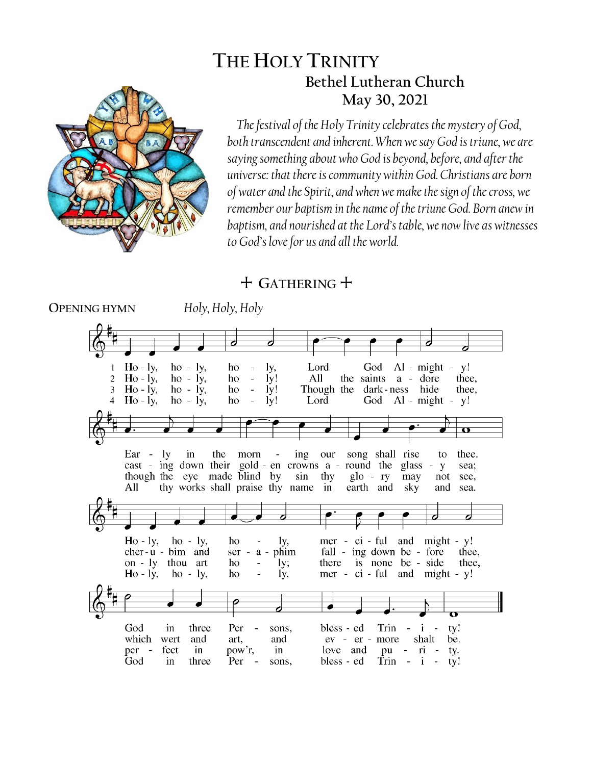# **THE HOLY TRINITY Bethel Lutheran Church May 30, 2021**



*The festival of the Holy Trinity celebrates the mystery of God, both transcendent and inherent. When we say God is triune, we are saying something about who God is beyond, before, and after the universe: that there is community within God. Christians are born of water and the Spirit, and when we make the sign of the cross, we remember our baptism in the name of the triune God. Born anew in baptism, and nourished at the Lord's table, we now live as witnesses to God's love for us and all the world.*

# + **GATHERING** +

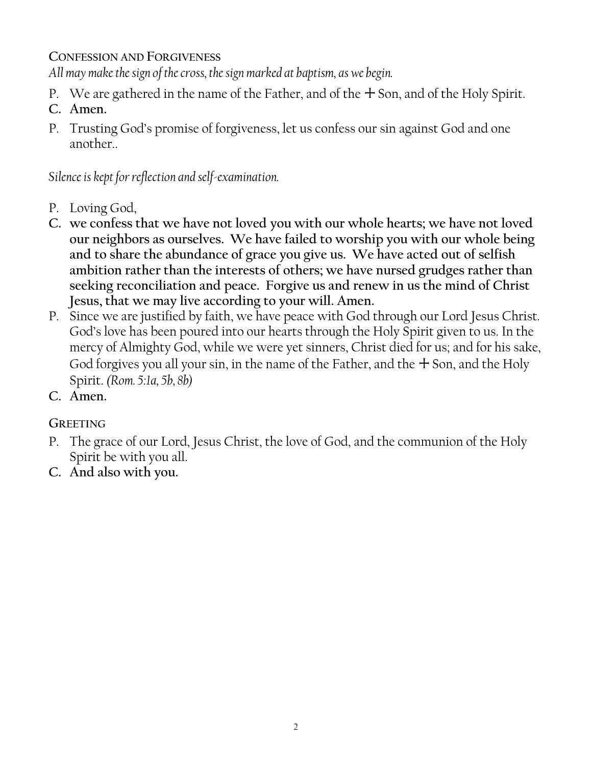### **CONFESSION AND FORGIVENESS**

*All may make the sign of the cross, the sign marked at baptism, as we begin.*

- P. We are gathered in the name of the Father, and of the  $+$  Son, and of the Holy Spirit.
- **C. Amen.**
- P. Trusting God's promise of forgiveness, let us confess our sin against God and one another..

*Silence is kept for reflection and self-examination.*

- P. Loving God,
- **C. we confess that we have not loved you with our whole hearts; we have not loved our neighbors as ourselves. We have failed to worship you with our whole being and to share the abundance of grace you give us. We have acted out of selfish ambition rather than the interests of others; we have nursed grudges rather than seeking reconciliation and peace. Forgive us and renew in us the mind of Christ Jesus, that we may live according to your will. Amen.**
- P. Since we are justified by faith, we have peace with God through our Lord Jesus Christ. God's love has been poured into our hearts through the Holy Spirit given to us. In the mercy of Almighty God, while we were yet sinners, Christ died for us; and for his sake, God forgives you all your sin, in the name of the Father, and the  $+$  Son, and the Holy Spirit. *(Rom. 5:1a, 5b, 8b)*
- **C. Amen.**

**GREETING**

- P. The grace of our Lord, Jesus Christ, the love of God, and the communion of the Holy Spirit be with you all.
- **C. And also with you.**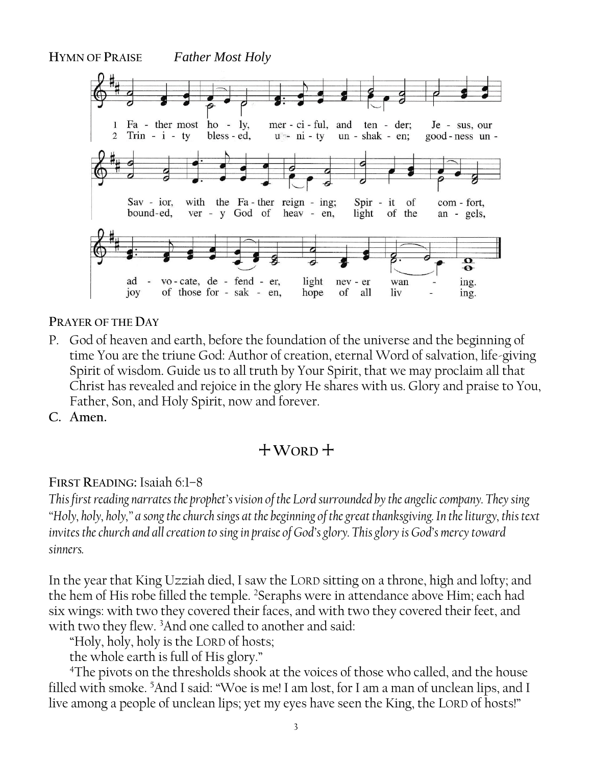**HYMN OF PRAISE** *Father Most Holy* Fa - ther most ho - ly, mer - ci - ful, and ten - der;  $\mathbf{1}$ Je - sus, our 2 Trin -  $i$  - ty bless - ed,  $u - ni - ty$  $un - shak - en;$ good-ness un- $Sav - ior$ , with the Fa-ther reign - ing; Spir - it of com - fort, bound-ed, ver - y God of heav - en, light of the an - gels,  $\mathbf o$  $\bullet$ vo-cate, de - fend - er, light ad nev - er wan ing. joy of those for - sak - en, hope of all liv ing.

**PRAYER OF THE DAY**

P. God of heaven and earth, before the foundation of the universe and the beginning of time You are the triune God: Author of creation, eternal Word of salvation, life-giving Spirit of wisdom. Guide us to all truth by Your Spirit, that we may proclaim all that Christ has revealed and rejoice in the glory He shares with us. Glory and praise to You, Father, Son, and Holy Spirit, now and forever.

**C. Amen.**

# +**WORD** +

# **FIRST READING:** Isaiah 6:1–8

*This first reading narrates the prophet's vision of the Lord surrounded by the angelic company. They sing "Holy, holy, holy," a song the church sings at the beginning of the great thanksgiving. In the liturgy, this text*  invites the church and all creation to sing in praise of God's glory. This glory is God's mercy toward *sinners.*

In the year that King Uzziah died, I saw the LORD sitting on a throne, high and lofty; and the hem of His robe filled the temple. <sup>2</sup>Seraphs were in attendance above Him; each had six wings: with two they covered their faces, and with two they covered their feet, and with two they flew. <sup>3</sup>And one called to another and said:

"Holy, holy, holy is the LORD of hosts;

the whole earth is full of His glory."

<sup>4</sup>The pivots on the thresholds shook at the voices of those who called, and the house filled with smoke. <sup>5</sup>And I said: "Woe is me! I am lost, for I am a man of unclean lips, and I live among a people of unclean lips; yet my eyes have seen the King, the LORD of hosts!"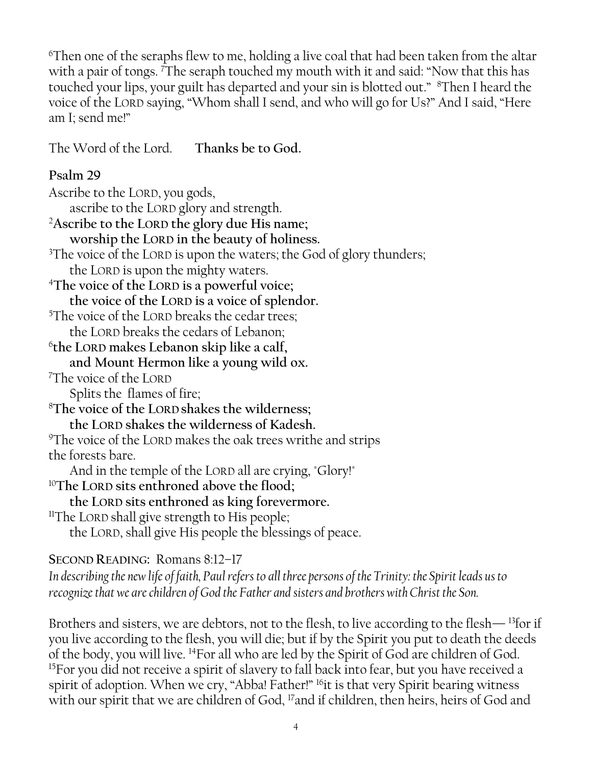<sup>6</sup>Then one of the seraphs flew to me, holding a live coal that had been taken from the altar with a pair of tongs. <sup>7</sup>The seraph touched my mouth with it and said: "Now that this has touched your lips, your guilt has departed and your sin is blotted out." <sup>8</sup>Then I heard the voice of the LORD saying, "Whom shall I send, and who will go for Us?" And I said, "Here am I; send me!"

The Word of the Lord. **Thanks be to God.**

# **Psalm 29**

Ascribe to the LORD, you gods, ascribe to the LORD glory and strength. <sup>2</sup>**Ascribe to the LORD the glory due His name; worship the LORD in the beauty of holiness.** <sup>3</sup>The voice of the LORD is upon the waters; the God of glory thunders; the LORD is upon the mighty waters. <sup>4</sup>**The voice of the LORD is a powerful voice; the voice of the LORD is a voice of splendor.**  <sup>5</sup>The voice of the LORD breaks the cedar trees; the LORD breaks the cedars of Lebanon; 6 **the LORD makes Lebanon skip like a calf, and Mount Hermon like a young wild ox.** <sup>7</sup>The voice of the LORD Splits the flames of fire; <sup>8</sup>**The voice of the LORD shakes the wilderness; the LORD shakes the wilderness of Kadesh.**  <sup>9</sup>The voice of the LORD makes the oak trees writhe and strips the forests bare. And in the temple of the LORD all are crying, "Glory!" <sup>10</sup>**The LORD sits enthroned above the flood; the LORD sits enthroned as king forevermore.** <sup>11</sup>The LORD shall give strength to His people; the LORD, shall give His people the blessings of peace.

# **SECOND READING:** Romans 8:12–17

*In describing the new life of faith, Paul refers to all three persons of the Trinity: the Spirit leads us to recognize that we are children of God the Father and sisters and brothers with Christ the Son.*

Brothers and sisters, we are debtors, not to the flesh, to live according to the flesh—  $^{13}$  for if you live according to the flesh, you will die; but if by the Spirit you put to death the deeds of the body, you will live. <sup>14</sup>For all who are led by the Spirit of God are children of God. <sup>15</sup>For you did not receive a spirit of slavery to fall back into fear, but you have received a spirit of adoption. When we cry, "Abba! Father!" <sup>16</sup>it is that very Spirit bearing witness with our spirit that we are children of God, <sup>17</sup>and if children, then heirs, heirs of God and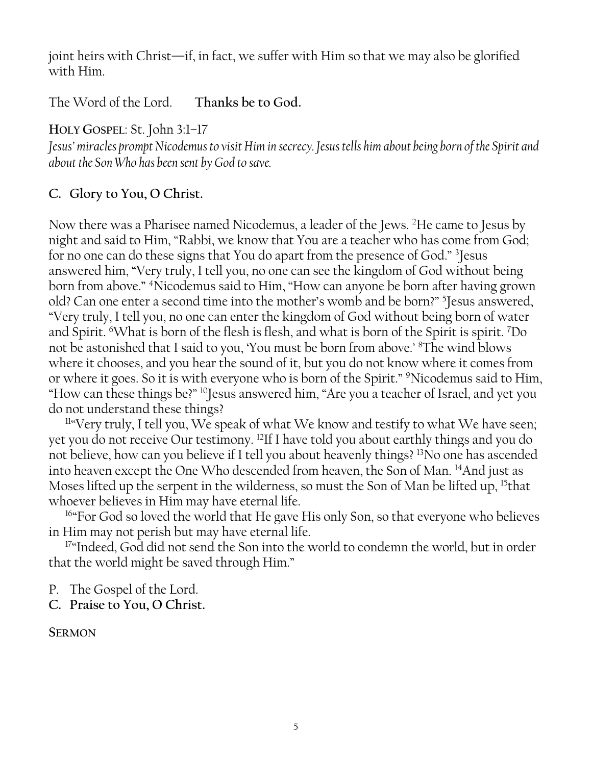joint heirs with Christ—if, in fact, we suffer with Him so that we may also be glorified with Him.

The Word of the Lord. **Thanks be to God.**

**HOLY GOSPEL**: St. John 3:1–17

*Jesus' miracles prompt Nicodemus to visit Him in secrecy. Jesus tells him about being born of the Spirit and about the Son Who has been sent by God to save.*

# **C. Glory to You, O Christ.**

Now there was a Pharisee named Nicodemus, a leader of the Jews. <sup>2</sup>He came to Jesus by night and said to Him, "Rabbi, we know that You are a teacher who has come from God; for no one can do these signs that You do apart from the presence of God." <sup>3</sup> Jesus answered him, "Very truly, I tell you, no one can see the kingdom of God without being born from above." <sup>4</sup>Nicodemus said to Him, "How can anyone be born after having grown old? Can one enter a second time into the mother's womb and be born?" <sup>5</sup> Jesus answered, "Very truly, I tell you, no one can enter the kingdom of God without being born of water and Spirit. <sup>6</sup>What is born of the flesh is flesh, and what is born of the Spirit is spirit. <sup>7</sup>Do not be astonished that I said to you, 'You must be born from above.' <sup>8</sup>The wind blows where it chooses, and you hear the sound of it, but you do not know where it comes from or where it goes. So it is with everyone who is born of the Spirit." <sup>9</sup>Nicodemus said to Him, "How can these things be?" <sup>10</sup>Jesus answered him, "Are you a teacher of Israel, and yet you do not understand these things?

 $114$  Very truly, I tell you, We speak of what We know and testify to what We have seen; yet you do not receive Our testimony. <sup>12</sup>If I have told you about earthly things and you do not believe, how can you believe if I tell you about heavenly things? <sup>13</sup>No one has ascended into heaven except the One Who descended from heaven, the Son of Man. <sup>14</sup>And just as Moses lifted up the serpent in the wilderness, so must the Son of Man be lifted up, <sup>15</sup>that whoever believes in Him may have eternal life.

<sup>16</sup>"For God so loved the world that He gave His only Son, so that everyone who believes in Him may not perish but may have eternal life.

<sup>17</sup>"Indeed, God did not send the Son into the world to condemn the world, but in order that the world might be saved through Him."

P. The Gospel of the Lord.

**C. Praise to You, O Christ.**

**SERMON**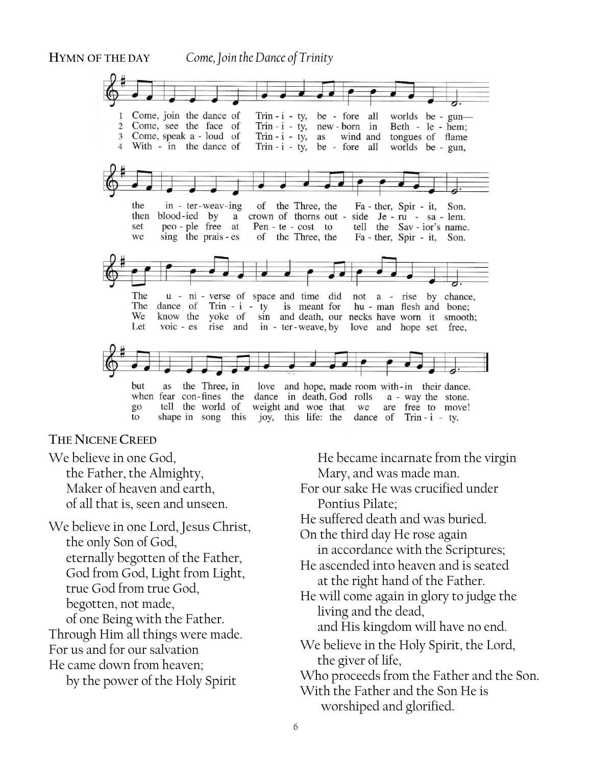**HYMN OF THE DAY** *Come, Join the Dance of Trinity*



#### **THE NICENE CREED**

We believe in one God, the Father, the Almighty, Maker of heaven and earth, of all that is, seen and unseen.

We believe in one Lord, Jesus Christ, the only Son of God, eternally begotten of the Father, God from God, Light from Light, true God from true God, begotten, not made, of one Being with the Father. Through Him all things were made. For us and for our salvation He came down from heaven;

by the power of the Holy Spirit

He became incarnate from the virgin Mary, and was made man. For our sake He was crucified under Pontius Pilate; He suffered death and was buried. On the third day He rose again in accordance with the Scriptures; He ascended into heaven and is seated at the right hand of the Father. He will come again in glory to judge the living and the dead, and His kingdom will have no end. We believe in the Holy Spirit, the Lord, the giver of life, Who proceeds from the Father and the Son. With the Father and the Son He is worshiped and glorified.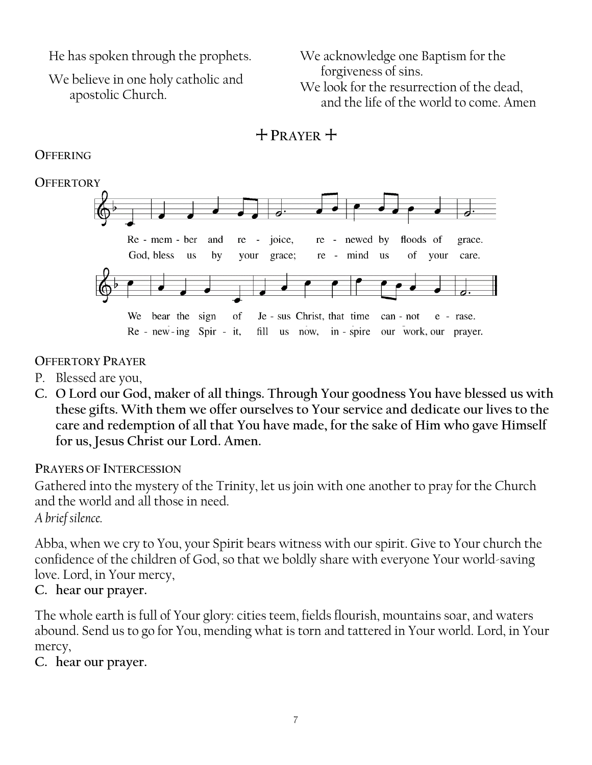He has spoken through the prophets.

We believe in one holy catholic and apostolic Church.

We acknowledge one Baptism for the forgiveness of sins. We look for the resurrection of the dead, and the life of the world to come. Amen



# **OFFERING**



### **OFFERTORY PRAYER**

- P. Blessed are you,
- **C. O Lord our God, maker of all things. Through Your goodness You have blessed us with these gifts. With them we offer ourselves to Your service and dedicate our lives to the care and redemption of all that You have made, for the sake of Him who gave Himself for us, Jesus Christ our Lord. Amen.**

#### **PRAYERS OF INTERCESSION**

Gathered into the mystery of the Trinity, let us join with one another to pray for the Church and the world and all those in need.

*A brief silence.*

Abba, when we cry to You, your Spirit bears witness with our spirit. Give to Your church the confidence of the children of God, so that we boldly share with everyone Your world-saving love. Lord, in Your mercy,

#### **C. hear our prayer.**

The whole earth is full of Your glory: cities teem, fields flourish, mountains soar, and waters abound. Send us to go for You, mending what is torn and tattered in Your world. Lord, in Your mercy,

**C. hear our prayer.**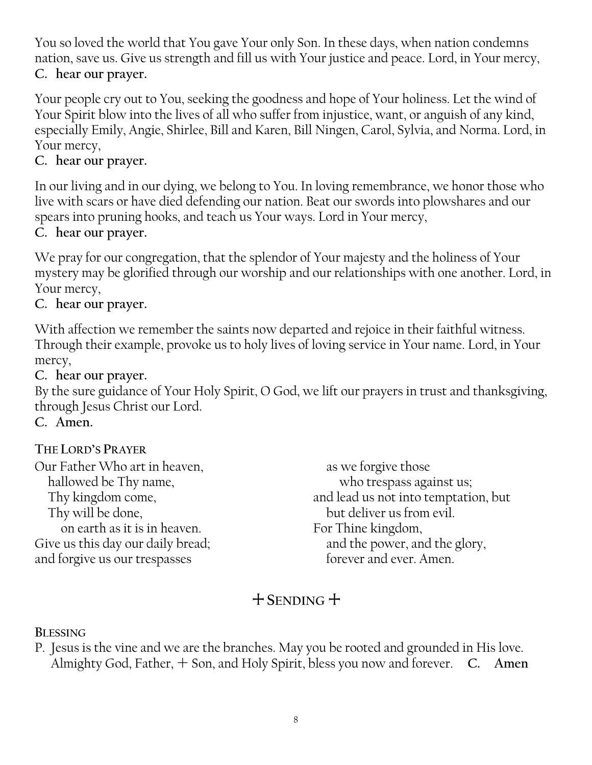You so loved the world that You gave Your only Son. In these days, when nation condemns nation, save us. Give us strength and fill us with Your justice and peace. Lord, in Your mercy, **C. hear our prayer.**

Your people cry out to You, seeking the goodness and hope of Your holiness. Let the wind of Your Spirit blow into the lives of all who suffer from injustice, want, or anguish of any kind, especially Emily, Angie, Shirlee, Bill and Karen, Bill Ningen, Carol, Sylvia, and Norma. Lord, in Your mercy,

# **C. hear our prayer.**

In our living and in our dying, we belong to You. In loving remembrance, we honor those who live with scars or have died defending our nation. Beat our swords into plowshares and our spears into pruning hooks, and teach us Your ways. Lord in Your mercy,

# **C. hear our prayer.**

We pray for our congregation, that the splendor of Your majesty and the holiness of Your mystery may be glorified through our worship and our relationships with one another. Lord, in Your mercy,

# **C. hear our prayer.**

With affection we remember the saints now departed and rejoice in their faithful witness. Through their example, provoke us to holy lives of loving service in Your name. Lord, in Your mercy,

**C. hear our prayer.**

By the sure guidance of Your Holy Spirit, O God, we lift our prayers in trust and thanksgiving, through Jesus Christ our Lord.

**C. Amen.**

# **THE LORD'S PRAYER**

Our Father Who art in heaven, hallowed be Thy name, Thy kingdom come, Thy will be done, on earth as it is in heaven. Give us this day our daily bread; and forgive us our trespasses

as we forgive those who trespass against us; and lead us not into temptation, but but deliver us from evil. For Thine kingdom, and the power, and the glory, forever and ever. Amen.

# $+$  **SENDING**  $+$

**BLESSING**

P. Jesus is the vine and we are the branches. May you be rooted and grounded in His love. Almighty God, Father,  $+$  Son, and Holy Spirit, bless you now and forever. **C.** Amen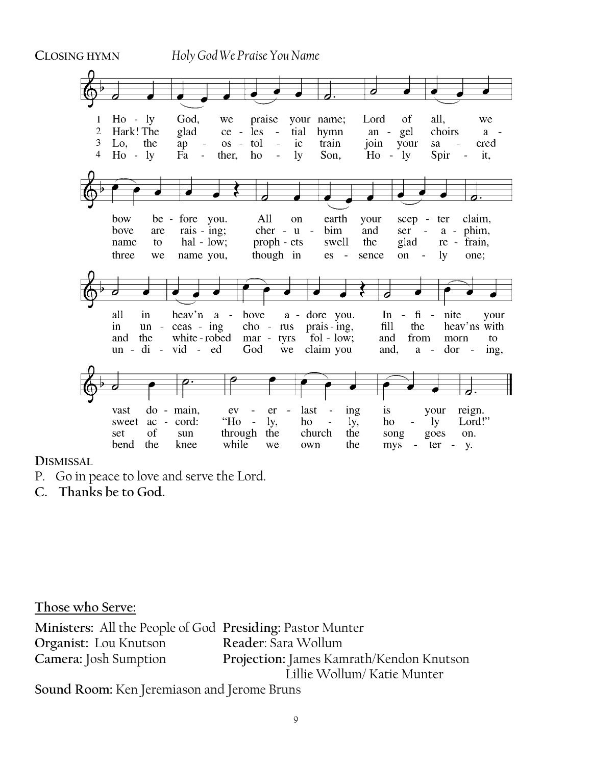

**DISMISSAL** 

- P. Go in peace to love and serve the Lord.
- **C. Thanks be to God.**

**Those who Serve:**

**Ministers:** All the People of God **Presiding:** Pastor Munter **Organist:** Lou Knutson **Reader**: Sara Wollum **Camera:** Josh Sumption **Projection:** James Kamrath/Kendon Knutson Lillie Wollum/ Katie Munter **Sound Room:** Ken Jeremiason and Jerome Bruns